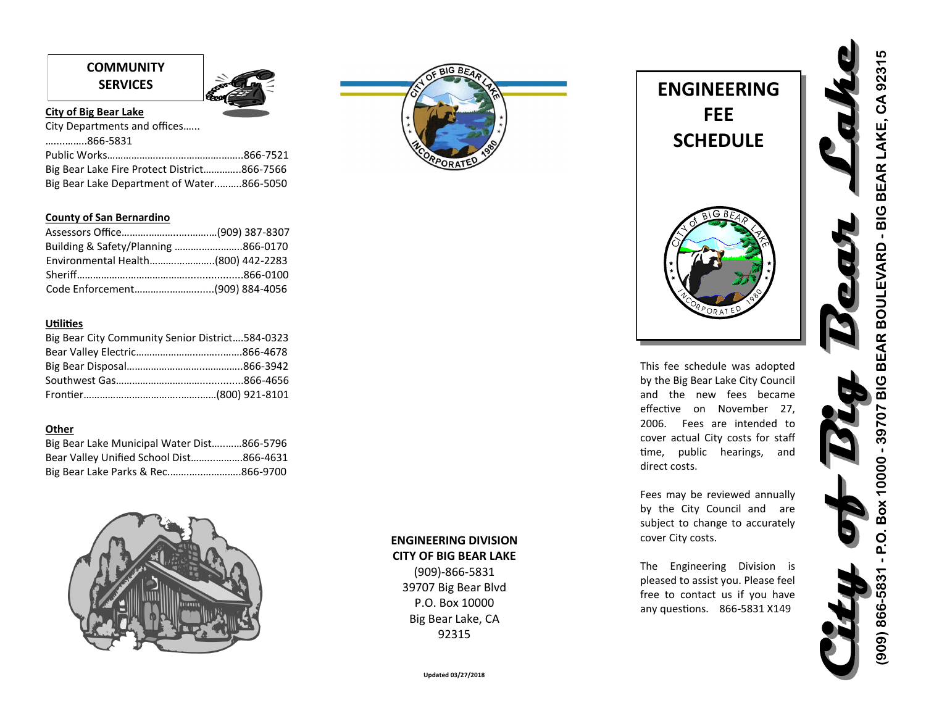# **COMMUNITY**



# **City of Big Bear Lake**

| City Departments and offices                |  |
|---------------------------------------------|--|
| 866-5831                                    |  |
|                                             |  |
| Big Bear Lake Fire Protect District866-7566 |  |
| Big Bear Lake Department of Water866-5050   |  |

# **County of San Bernardino**

| Environmental Health(800) 442-2283 |  |
|------------------------------------|--|
|                                    |  |
|                                    |  |

# **Utilities**

| Big Bear City Community Senior District584-0323 |  |
|-------------------------------------------------|--|
|                                                 |  |
|                                                 |  |
|                                                 |  |
|                                                 |  |

# **Other**

| Big Bear Lake Municipal Water Dist866-5796 |  |
|--------------------------------------------|--|
| Bear Valley Unified School Dist866-4631    |  |
| Big Bear Lake Parks & Rec866-9700          |  |



**ENGINEERING DIVISION CITY OF BIG BEAR LAKE** (909)-866-5831 39707 Big Bear Blvd P.O. Box 10000 Big Bear Lake, CA 92315

 $BIGB$ 



This fee schedule was adopted by the Big Bear Lake City Council and the new fees became effective on November 27, 2006. Fees are intended to cover actual City costs for staff time, public hearings, and direct costs.

Fees may be reviewed annually by the City Council and are subject to change to accurately cover City costs.

The Engineering Division is pleased to assist you. Please feel free to contact us if you have any questions. 866-5831 X149

- P.O. Box 10000 - 39707 BIG BEAR BOULEVARD - BIG BEAR LAKE, CA 92315 909) 866-5831